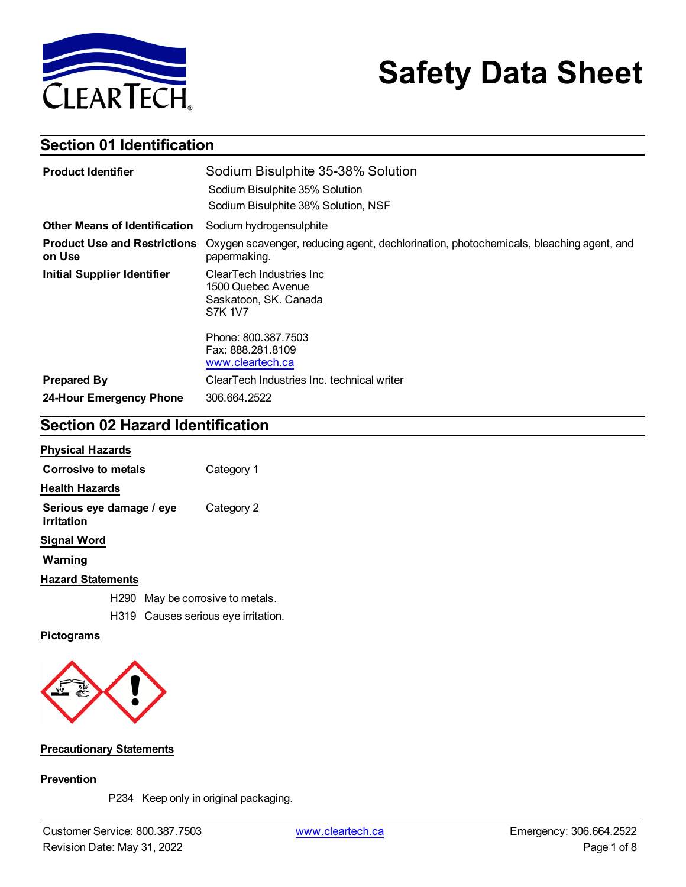

# **Safety Data Sheet**

# **Section 01 Identification**

| <b>Product Identifier</b>                     | Sodium Bisulphite 35-38% Solution                                                                      |  |
|-----------------------------------------------|--------------------------------------------------------------------------------------------------------|--|
|                                               | Sodium Bisulphite 35% Solution<br>Sodium Bisulphite 38% Solution, NSF                                  |  |
| <b>Other Means of Identification</b>          | Sodium hydrogensulphite                                                                                |  |
| <b>Product Use and Restrictions</b><br>on Use | Oxygen scavenger, reducing agent, dechlorination, photochemicals, bleaching agent, and<br>papermaking. |  |
| <b>Initial Supplier Identifier</b>            | ClearTech Industries Inc<br>1500 Quebec Avenue<br>Saskatoon, SK. Canada<br><b>S7K 1V7</b>              |  |
|                                               | Phone: 800.387.7503<br>Fax: 888.281.8109<br>www.cleartech.ca                                           |  |
| <b>Prepared By</b>                            | ClearTech Industries Inc. technical writer                                                             |  |
| 24-Hour Emergency Phone                       | 306.664.2522                                                                                           |  |

# **Section 02 Hazard Identification**

| <b>Physical Hazards</b>                |  |                                     |
|----------------------------------------|--|-------------------------------------|
| Corrosive to metals                    |  | Category 1                          |
| <b>Health Hazards</b>                  |  |                                     |
| Serious eye damage / eye<br>irritation |  | Category 2                          |
| Signal Word                            |  |                                     |
| Warning                                |  |                                     |
| <b>Hazard Statements</b>               |  |                                     |
| H290                                   |  | May be corrosive to metals.         |
|                                        |  | H319 Causes serious eye irritation. |

### **Pictograms**



#### **Precautionary Statements**

#### **Prevention**

P234 Keep only in original packaging.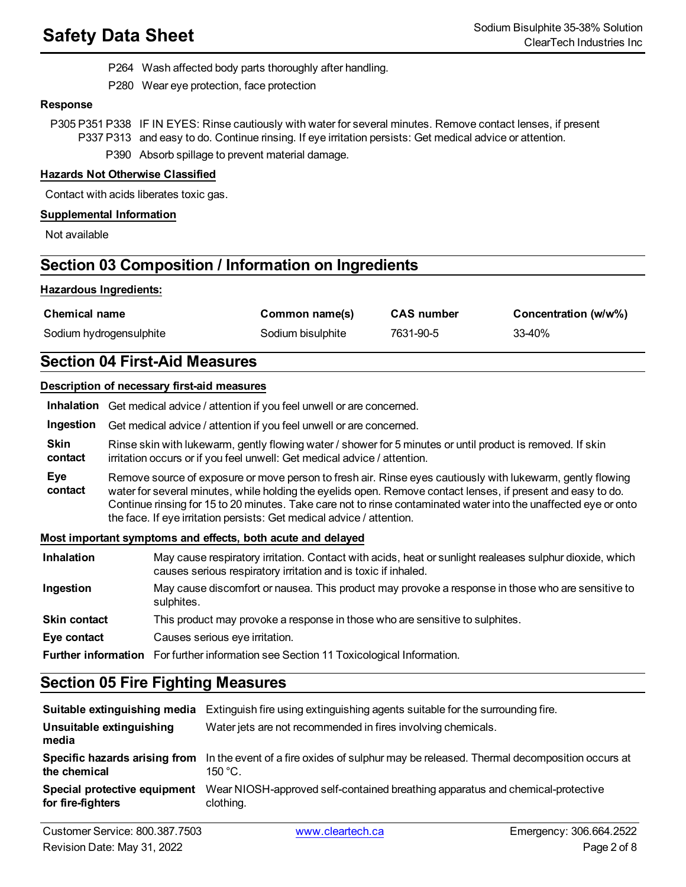P264 Wash affected body parts thoroughly after handling.

P280 Wear eye protection, face protection

#### **Response**

P305 P351 P338 IF IN EYES: Rinse cautiously with water for several minutes. Remove contact lenses, if present P337 P313 and easy to do. Continue rinsing. If eye irritation persists: Get medical advice or attention.

P390 Absorb spillage to prevent material damage.

#### **Hazards Not Otherwise Classified**

Contact with acids liberates toxic gas.

#### **Supplemental Information**

Not available

# **Section 03 Composition / Information on Ingredients**

#### **Hazardous Ingredients:**

| <b>Chemical name</b>    | Common name(s)    | <b>CAS number</b> | Concentration (w/w%) |
|-------------------------|-------------------|-------------------|----------------------|
| Sodium hydrogensulphite | Sodium bisulphite | 7631-90-5         | 33-40%               |

## **Section 04 First-Aid Measures**

#### **Description of necessary first-aid measures**

|                        | Inhalation Get medical advice / attention if you feel unwell or are concerned.                                                                                                                                                                                                                                                                                                                                          |
|------------------------|-------------------------------------------------------------------------------------------------------------------------------------------------------------------------------------------------------------------------------------------------------------------------------------------------------------------------------------------------------------------------------------------------------------------------|
| Ingestion              | Get medical advice / attention if you feel unwell or are concerned.                                                                                                                                                                                                                                                                                                                                                     |
| <b>Skin</b><br>contact | Rinse skin with lukewarm, gently flowing water / shower for 5 minutes or until product is removed. If skin<br>irritation occurs or if you feel unwell: Get medical advice / attention.                                                                                                                                                                                                                                  |
| Eve<br>contact         | Remove source of exposure or move person to fresh air. Rinse eyes cautiously with lukewarm, gently flowing<br>water for several minutes, while holding the eyelids open. Remove contact lenses, if present and easy to do.<br>Continue rinsing for 15 to 20 minutes. Take care not to rinse contaminated water into the unaffected eye or onto<br>the face. If eye irritation persists: Get medical advice / attention. |
|                        | Most important symptoms and effects, both acute and delayed                                                                                                                                                                                                                                                                                                                                                             |

### **Inhalation** May cause respiratory irritation. Contact with acids, heat or sunlight realeases sulphur dioxide, which causes serious respiratory irritation and is toxic if inhaled. **Ingestion** May cause discomfort or nausea. This product may provoke a response in those who are sensitive to sulphites. **Skin contact** This product may provoke a response in those who are sensitive to sulphites. **Eye contact** Causes serious eye irritation. **Further information** For further information see Section 11 Toxicological Information.

# **Section 05 Fire Fighting Measures**

|                                                   | <b>Suitable extinguishing media</b> Extinguish fire using extinguishing agents suitable for the surrounding fire.                     |
|---------------------------------------------------|---------------------------------------------------------------------------------------------------------------------------------------|
| Unsuitable extinguishing<br>media                 | Water jets are not recommended in fires involving chemicals.                                                                          |
| the chemical                                      | Specific hazards arising from In the event of a fire oxides of sulphur may be released. Thermal decomposition occurs at<br>$150 °C$ . |
| Special protective equipment<br>for fire-fighters | Wear NIOSH-approved self-contained breathing apparatus and chemical-protective<br>clothing.                                           |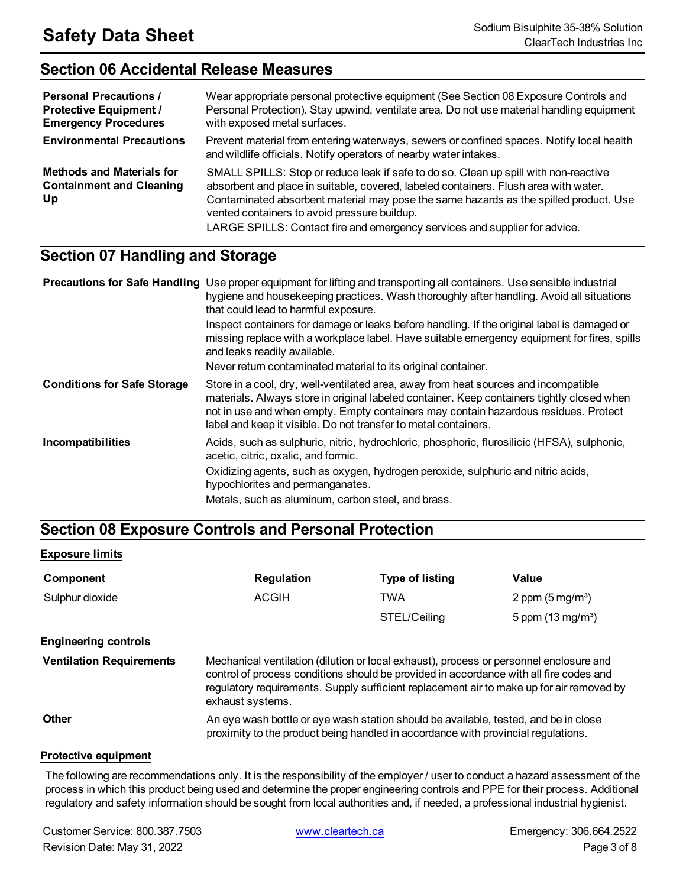# **Section 06 Accidental Release Measures**

| <b>Personal Precautions /</b><br><b>Protective Equipment /</b><br><b>Emergency Procedures</b> | Wear appropriate personal protective equipment (See Section 08 Exposure Controls and<br>Personal Protection). Stay upwind, ventilate area. Do not use material handling equipment<br>with exposed metal surfaces.                                                                                                                                                                                   |
|-----------------------------------------------------------------------------------------------|-----------------------------------------------------------------------------------------------------------------------------------------------------------------------------------------------------------------------------------------------------------------------------------------------------------------------------------------------------------------------------------------------------|
| <b>Environmental Precautions</b>                                                              | Prevent material from entering waterways, sewers or confined spaces. Notify local health<br>and wildlife officials. Notify operators of nearby water intakes.                                                                                                                                                                                                                                       |
| <b>Methods and Materials for</b><br><b>Containment and Cleaning</b><br>Up                     | SMALL SPILLS: Stop or reduce leak if safe to do so. Clean up spill with non-reactive<br>absorbent and place in suitable, covered, labeled containers. Flush area with water.<br>Contaminated absorbent material may pose the same hazards as the spilled product. Use<br>vented containers to avoid pressure buildup.<br>LARGE SPILLS: Contact fire and emergency services and supplier for advice. |

# **Section 07 Handling and Storage**

|                                    | <b>Precautions for Safe Handling</b> Use proper equipment for lifting and transporting all containers. Use sensible industrial<br>hygiene and housekeeping practices. Wash thoroughly after handling. Avoid all situations<br>that could lead to harmful exposure.                                                                          |
|------------------------------------|---------------------------------------------------------------------------------------------------------------------------------------------------------------------------------------------------------------------------------------------------------------------------------------------------------------------------------------------|
|                                    | Inspect containers for damage or leaks before handling. If the original label is damaged or<br>missing replace with a workplace label. Have suitable emergency equipment for fires, spills<br>and leaks readily available.                                                                                                                  |
|                                    | Never return contaminated material to its original container.                                                                                                                                                                                                                                                                               |
| <b>Conditions for Safe Storage</b> | Store in a cool, dry, well-ventilated area, away from heat sources and incompatible<br>materials. Always store in original labeled container. Keep containers tightly closed when<br>not in use and when empty. Empty containers may contain hazardous residues. Protect<br>label and keep it visible. Do not transfer to metal containers. |
| Incompatibilities                  | Acids, such as sulphuric, nitric, hydrochloric, phosphoric, flurosilicic (HFSA), sulphonic,<br>acetic, citric, oxalic, and formic.                                                                                                                                                                                                          |
|                                    | Oxidizing agents, such as oxygen, hydrogen peroxide, sulphuric and nitric acids,<br>hypochlorites and permanganates.                                                                                                                                                                                                                        |
|                                    | Metals, such as aluminum, carbon steel, and brass.                                                                                                                                                                                                                                                                                          |

# **Section 08 Exposure Controls and Personal Protection**

#### **Exposure limits**

| Component                       | <b>Regulation</b>                                                                                                                                                                                                                                                                                | <b>Type of listing</b> | Value                       |
|---------------------------------|--------------------------------------------------------------------------------------------------------------------------------------------------------------------------------------------------------------------------------------------------------------------------------------------------|------------------------|-----------------------------|
| Sulphur dioxide                 | ACGIH                                                                                                                                                                                                                                                                                            | <b>TWA</b>             | 2 ppm $(5 \text{ mg/m}^3)$  |
|                                 |                                                                                                                                                                                                                                                                                                  | STEL/Ceiling           | 5 ppm $(13 \text{ mg/m}^3)$ |
| <b>Engineering controls</b>     |                                                                                                                                                                                                                                                                                                  |                        |                             |
| <b>Ventilation Requirements</b> | Mechanical ventilation (dilution or local exhaust), process or personnel enclosure and<br>control of process conditions should be provided in accordance with all fire codes and<br>regulatory requirements. Supply sufficient replacement air to make up for air removed by<br>exhaust systems. |                        |                             |
| Other                           | An eye wash bottle or eye wash station should be available, tested, and be in close<br>proximity to the product being handled in accordance with provincial regulations.                                                                                                                         |                        |                             |

#### **Protective equipment**

The following are recommendations only. It is the responsibility of the employer / user to conduct a hazard assessment of the process in which this product being used and determine the proper engineering controls and PPE for their process. Additional regulatory and safety information should be sought from local authorities and, if needed, a professional industrial hygienist.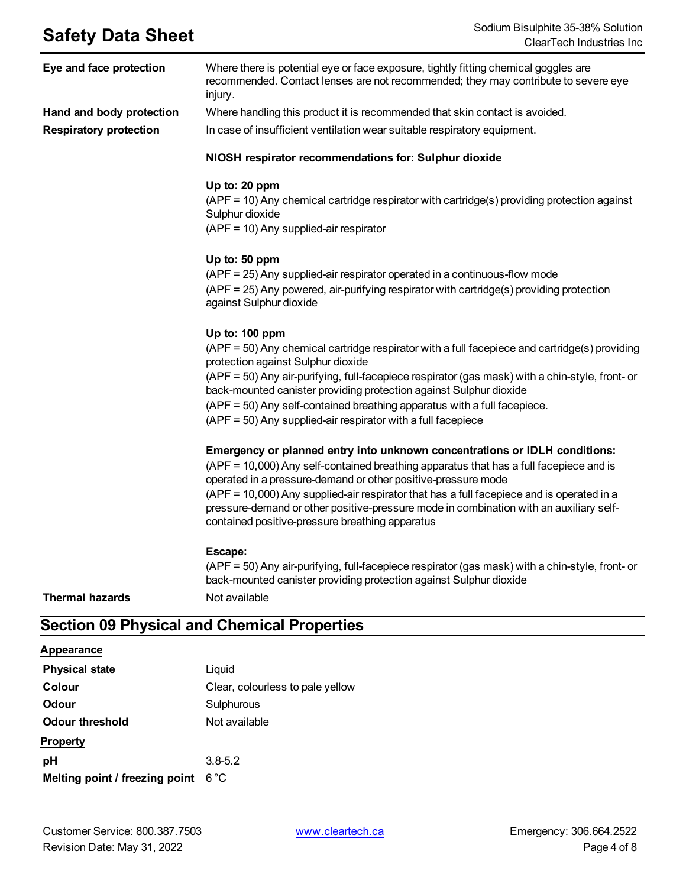| Eye and face protection       | Where there is potential eye or face exposure, tightly fitting chemical goggles are<br>recommended. Contact lenses are not recommended; they may contribute to severe eye<br>injury.                                                                                                                                                                                                                                                                                            |
|-------------------------------|---------------------------------------------------------------------------------------------------------------------------------------------------------------------------------------------------------------------------------------------------------------------------------------------------------------------------------------------------------------------------------------------------------------------------------------------------------------------------------|
| Hand and body protection      | Where handling this product it is recommended that skin contact is avoided.                                                                                                                                                                                                                                                                                                                                                                                                     |
| <b>Respiratory protection</b> | In case of insufficient ventilation wear suitable respiratory equipment.                                                                                                                                                                                                                                                                                                                                                                                                        |
|                               | NIOSH respirator recommendations for: Sulphur dioxide                                                                                                                                                                                                                                                                                                                                                                                                                           |
|                               | Up to: 20 ppm<br>(APF = 10) Any chemical cartridge respirator with cartridge(s) providing protection against<br>Sulphur dioxide<br>(APF = 10) Any supplied-air respirator                                                                                                                                                                                                                                                                                                       |
|                               | Up to: 50 ppm<br>(APF = 25) Any supplied-air respirator operated in a continuous-flow mode<br>(APF = 25) Any powered, air-purifying respirator with cartridge(s) providing protection<br>against Sulphur dioxide                                                                                                                                                                                                                                                                |
|                               | Up to: 100 ppm<br>(APF = 50) Any chemical cartridge respirator with a full facepiece and cartridge(s) providing<br>protection against Sulphur dioxide<br>(APF = 50) Any air-purifying, full-facepiece respirator (gas mask) with a chin-style, front- or<br>back-mounted canister providing protection against Sulphur dioxide<br>(APF = 50) Any self-contained breathing apparatus with a full facepiece.<br>(APF = 50) Any supplied-air respirator with a full facepiece      |
|                               | Emergency or planned entry into unknown concentrations or IDLH conditions:<br>(APF = 10,000) Any self-contained breathing apparatus that has a full facepiece and is<br>operated in a pressure-demand or other positive-pressure mode<br>(APF = 10,000) Any supplied-air respirator that has a full facepiece and is operated in a<br>pressure-demand or other positive-pressure mode in combination with an auxiliary self-<br>contained positive-pressure breathing apparatus |
| <b>Thermal hazards</b>        | Escape:<br>(APF = 50) Any air-purifying, full-facepiece respirator (gas mask) with a chin-style, front- or<br>back-mounted canister providing protection against Sulphur dioxide<br>Not available                                                                                                                                                                                                                                                                               |

# **Section 09 Physical and Chemical Properties**

### **Appearance**

| <b>Physical state</b>          | Liquid                           |
|--------------------------------|----------------------------------|
| Colour                         | Clear, colourless to pale yellow |
| <b>Odour</b>                   | Sulphurous                       |
| Odour threshold                | Not available                    |
| <b>Property</b>                |                                  |
| рH                             | $3.8 - 5.2$                      |
| Melting point / freezing point | $6^{\circ}$ C                    |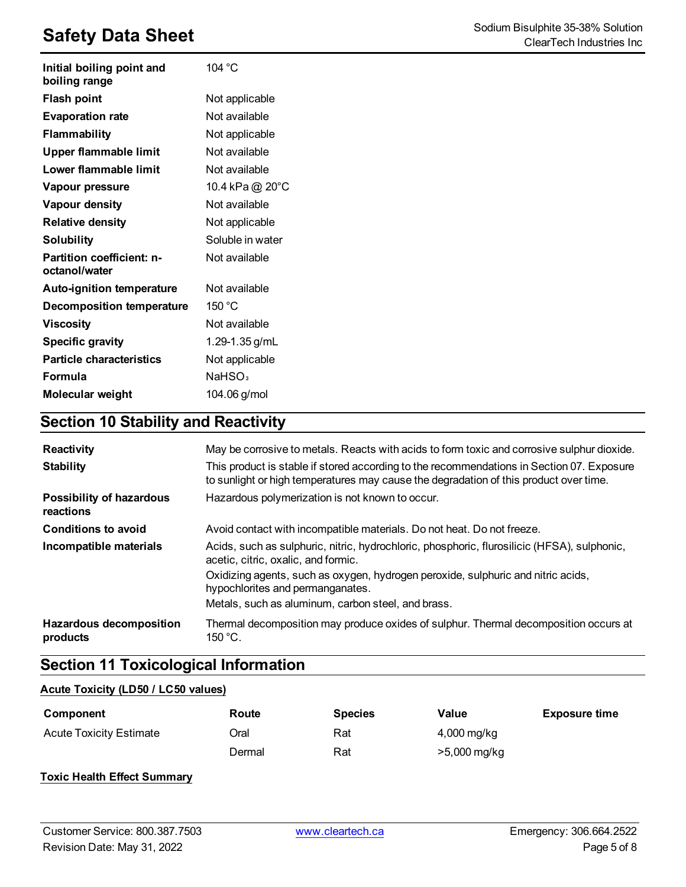| Initial boiling point and<br>boiling range | 104 °C             |
|--------------------------------------------|--------------------|
| <b>Flash point</b>                         | Not applicable     |
| <b>Evaporation rate</b>                    | Not available      |
| <b>Flammability</b>                        | Not applicable     |
| Upper flammable limit                      | Not available      |
| Lower flammable limit                      | Not available      |
| Vapour pressure                            | 10.4 kPa @ 20°C    |
| Vapour density                             | Not available      |
| <b>Relative density</b>                    | Not applicable     |
| <b>Solubility</b>                          | Soluble in water   |
| Partition coefficient: n-<br>octanol/water | Not available      |
| Auto-ignition temperature                  | Not available      |
| <b>Decomposition temperature</b>           | 150 $^{\circ}$ C   |
| <b>Viscosity</b>                           | Not available      |
| <b>Specific gravity</b>                    | 1.29-1.35 g/mL     |
| <b>Particle characteristics</b>            | Not applicable     |
| Formula                                    | NaHSO <sub>3</sub> |
| Molecular weight                           | 104.06 g/mol       |

# **Section 10 Stability and Reactivity**

| Reactivity<br><b>Stability</b>             | May be corrosive to metals. Reacts with acids to form toxic and corrosive sulphur dioxide.<br>This product is stable if stored according to the recommendations in Section 07. Exposure<br>to sunlight or high temperatures may cause the degradation of this product over time. |
|--------------------------------------------|----------------------------------------------------------------------------------------------------------------------------------------------------------------------------------------------------------------------------------------------------------------------------------|
| Possibility of hazardous<br>reactions      | Hazardous polymerization is not known to occur.                                                                                                                                                                                                                                  |
| <b>Conditions to avoid</b>                 | Avoid contact with incompatible materials. Do not heat. Do not freeze.                                                                                                                                                                                                           |
| Incompatible materials                     | Acids, such as sulphuric, nitric, hydrochloric, phosphoric, flurosilicic (HFSA), sulphonic,<br>acetic, citric, oxalic, and formic.                                                                                                                                               |
|                                            | Oxidizing agents, such as oxygen, hydrogen peroxide, sulphuric and nitric acids,<br>hypochlorites and permanganates.                                                                                                                                                             |
|                                            | Metals, such as aluminum, carbon steel, and brass.                                                                                                                                                                                                                               |
| <b>Hazardous decomposition</b><br>products | Thermal decomposition may produce oxides of sulphur. Thermal decomposition occurs at<br>$150 °C$ .                                                                                                                                                                               |

# **Section 11 Toxicological Information**

#### **Acute Toxicity (LD50 / LC50 values)**

| Component                      | Route  | <b>Species</b> | Value        | <b>Exposure time</b> |
|--------------------------------|--------|----------------|--------------|----------------------|
| <b>Acute Toxicity Estimate</b> | Oral   | Rat            | 4,000 mg/kg  |                      |
|                                | Dermal | Rat            | >5,000 mg/kg |                      |

### **Toxic Health Effect Summary**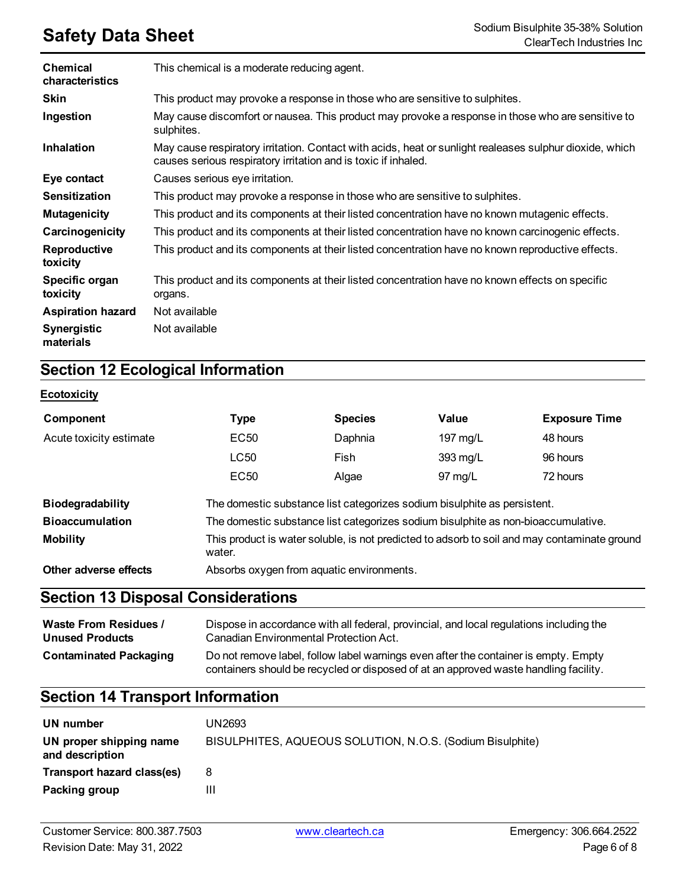| Chemical<br>characteristics     | This chemical is a moderate reducing agent.                                                                                                                               |
|---------------------------------|---------------------------------------------------------------------------------------------------------------------------------------------------------------------------|
| <b>Skin</b>                     | This product may provoke a response in those who are sensitive to sulphites.                                                                                              |
| Ingestion                       | May cause discomfort or nausea. This product may provoke a response in those who are sensitive to<br>sulphites.                                                           |
| <b>Inhalation</b>               | May cause respiratory irritation. Contact with acids, heat or sunlight realeases sulphur dioxide, which<br>causes serious respiratory irritation and is toxic if inhaled. |
| Eye contact                     | Causes serious eye irritation.                                                                                                                                            |
| <b>Sensitization</b>            | This product may provoke a response in those who are sensitive to sulphites.                                                                                              |
| <b>Mutagenicity</b>             | This product and its components at their listed concentration have no known mutagenic effects.                                                                            |
| Carcinogenicity                 | This product and its components at their listed concentration have no known carcinogenic effects.                                                                         |
| Reproductive<br>toxicity        | This product and its components at their listed concentration have no known reproductive effects.                                                                         |
| Specific organ<br>toxicity      | This product and its components at their listed concentration have no known effects on specific<br>organs.                                                                |
| <b>Aspiration hazard</b>        | Not available                                                                                                                                                             |
| <b>Synergistic</b><br>materials | Not available                                                                                                                                                             |

# **Section 12 Ecological Information**

### **Ecotoxicity**

| Component               | Type                                                                                                   | <b>Species</b> | Value             | <b>Exposure Time</b> |
|-------------------------|--------------------------------------------------------------------------------------------------------|----------------|-------------------|----------------------|
| Acute toxicity estimate | EC <sub>50</sub>                                                                                       | Daphnia        | 197 $mg/L$        | 48 hours             |
|                         | LC50                                                                                                   | Fish           | 393 mg/L          | 96 hours             |
|                         | EC <sub>50</sub>                                                                                       | Algae          | $97 \text{ mg/L}$ | 72 hours             |
| <b>Biodegradability</b> | The domestic substance list categorizes sodium bisulphite as persistent.                               |                |                   |                      |
| <b>Bioaccumulation</b>  | The domestic substance list categorizes sodium bisulphite as non-bioaccumulative.                      |                |                   |                      |
| <b>Mobility</b>         | This product is water soluble, is not predicted to adsorb to soil and may contaminate ground<br>water. |                |                   |                      |
| Other adverse effects   | Absorbs oxygen from aquatic environments.                                                              |                |                   |                      |

# **Section 13 Disposal Considerations**

| <b>Waste From Residues /</b>  | Dispose in accordance with all federal, provincial, and local regulations including the                                                                                     |
|-------------------------------|-----------------------------------------------------------------------------------------------------------------------------------------------------------------------------|
| <b>Unused Products</b>        | Canadian Environmental Protection Act.                                                                                                                                      |
| <b>Contaminated Packaging</b> | Do not remove label, follow label warnings even after the container is empty. Empty<br>containers should be recycled or disposed of at an approved waste handling facility. |

# **Section 14 Transport Information**

| UN number                                  | UN2693                                                    |
|--------------------------------------------|-----------------------------------------------------------|
| UN proper shipping name<br>and description | BISULPHITES, AQUEOUS SOLUTION, N.O.S. (Sodium Bisulphite) |
| Transport hazard class(es)                 | 8                                                         |
| Packing group                              | Ш                                                         |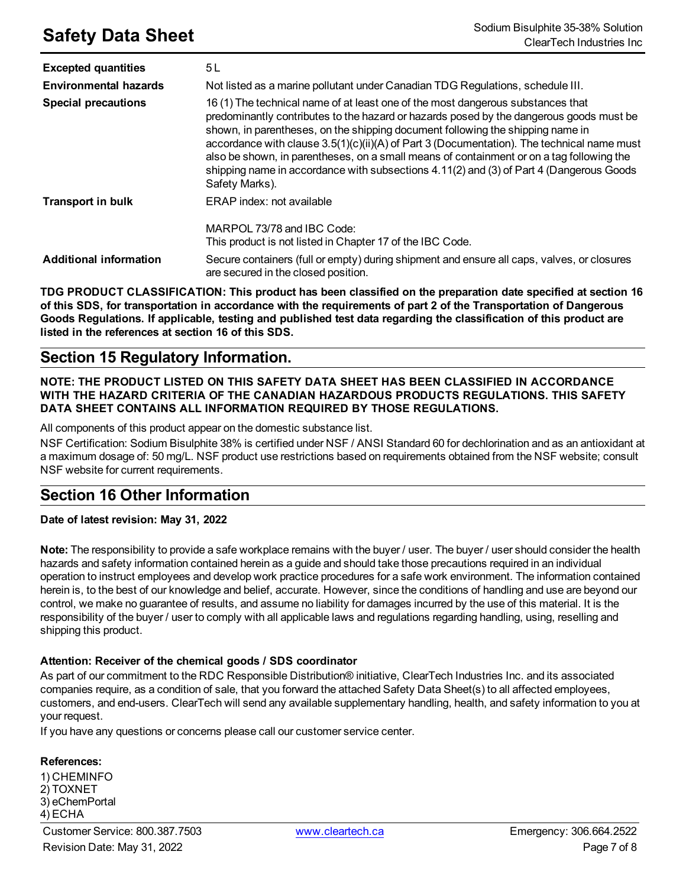| <b>Excepted quantities</b>    | 5 L                                                                                                                                                                                                                                                                                                                                                                                                                                                                                                                                                                 |
|-------------------------------|---------------------------------------------------------------------------------------------------------------------------------------------------------------------------------------------------------------------------------------------------------------------------------------------------------------------------------------------------------------------------------------------------------------------------------------------------------------------------------------------------------------------------------------------------------------------|
| <b>Environmental hazards</b>  | Not listed as a marine pollutant under Canadian TDG Regulations, schedule III.                                                                                                                                                                                                                                                                                                                                                                                                                                                                                      |
| <b>Special precautions</b>    | 16 (1) The technical name of at least one of the most dangerous substances that<br>predominantly contributes to the hazard or hazards posed by the dangerous goods must be<br>shown, in parentheses, on the shipping document following the shipping name in<br>accordance with clause 3.5(1)(c)(ii)(A) of Part 3 (Documentation). The technical name must<br>also be shown, in parentheses, on a small means of containment or on a tag following the<br>shipping name in accordance with subsections 4.11(2) and (3) of Part 4 (Dangerous Goods<br>Safety Marks). |
| <b>Transport in bulk</b>      | ERAP index: not available                                                                                                                                                                                                                                                                                                                                                                                                                                                                                                                                           |
|                               | MARPOL 73/78 and IBC Code:<br>This product is not listed in Chapter 17 of the IBC Code.                                                                                                                                                                                                                                                                                                                                                                                                                                                                             |
| <b>Additional information</b> | Secure containers (full or empty) during shipment and ensure all caps, valves, or closures<br>are secured in the closed position.                                                                                                                                                                                                                                                                                                                                                                                                                                   |

**TDG PRODUCT CLASSIFICATION: This product has been classified on the preparation date specified at section 16** of this SDS, for transportation in accordance with the requirements of part 2 of the Transportation of Dangerous Goods Regulations. If applicable, testing and published test data regarding the classification of this product are **listed in the references at section 16 of this SDS.**

# **Section 15 Regulatory Information.**

### **NOTE: THE PRODUCT LISTED ON THIS SAFETY DATA SHEET HAS BEEN CLASSIFIED IN ACCORDANCE WITH THE HAZARD CRITERIA OF THE CANADIAN HAZARDOUS PRODUCTS REGULATIONS. THIS SAFETY DATA SHEET CONTAINS ALL INFORMATION REQUIRED BY THOSE REGULATIONS.**

All components of this product appear on the domestic substance list.

NSF Certification: Sodium Bisulphite 38% is certified under NSF / ANSI Standard 60 for dechlorination and as an antioxidant at a maximum dosage of: 50 mg/L. NSF product use restrictions based on requirements obtained from the NSF website; consult NSF website for current requirements.

# **Section 16 Other Information**

#### **Date of latest revision: May 31, 2022**

**Note:** The responsibility to provide a safe workplace remains with the buyer / user. The buyer / user should consider the health hazards and safety information contained herein as a guide and should take those precautions required in an individual operation to instruct employees and develop work practice procedures for a safe work environment. The information contained herein is, to the best of our knowledge and belief, accurate. However, since the conditions of handling and use are beyond our control, we make no guarantee of results, and assume no liability for damages incurred by the use of this material. It is the responsibility of the buyer / user to comply with all applicable laws and regulations regarding handling, using, reselling and shipping this product.

#### **Attention: Receiver of the chemical goods / SDS coordinator**

As part of our commitment to the RDC Responsible Distribution® initiative, ClearTech Industries Inc. and its associated companies require, as a condition of sale, that you forward the attached Safety Data Sheet(s) to all affected employees, customers, and end-users. ClearTech will send any available supplementary handling, health, and safety information to you at your request.

If you have any questions or concerns please call our customer service center.

#### **References:**

1) CHEMINFO 2) TOXNET 3) eChemPortal 4) ECHA